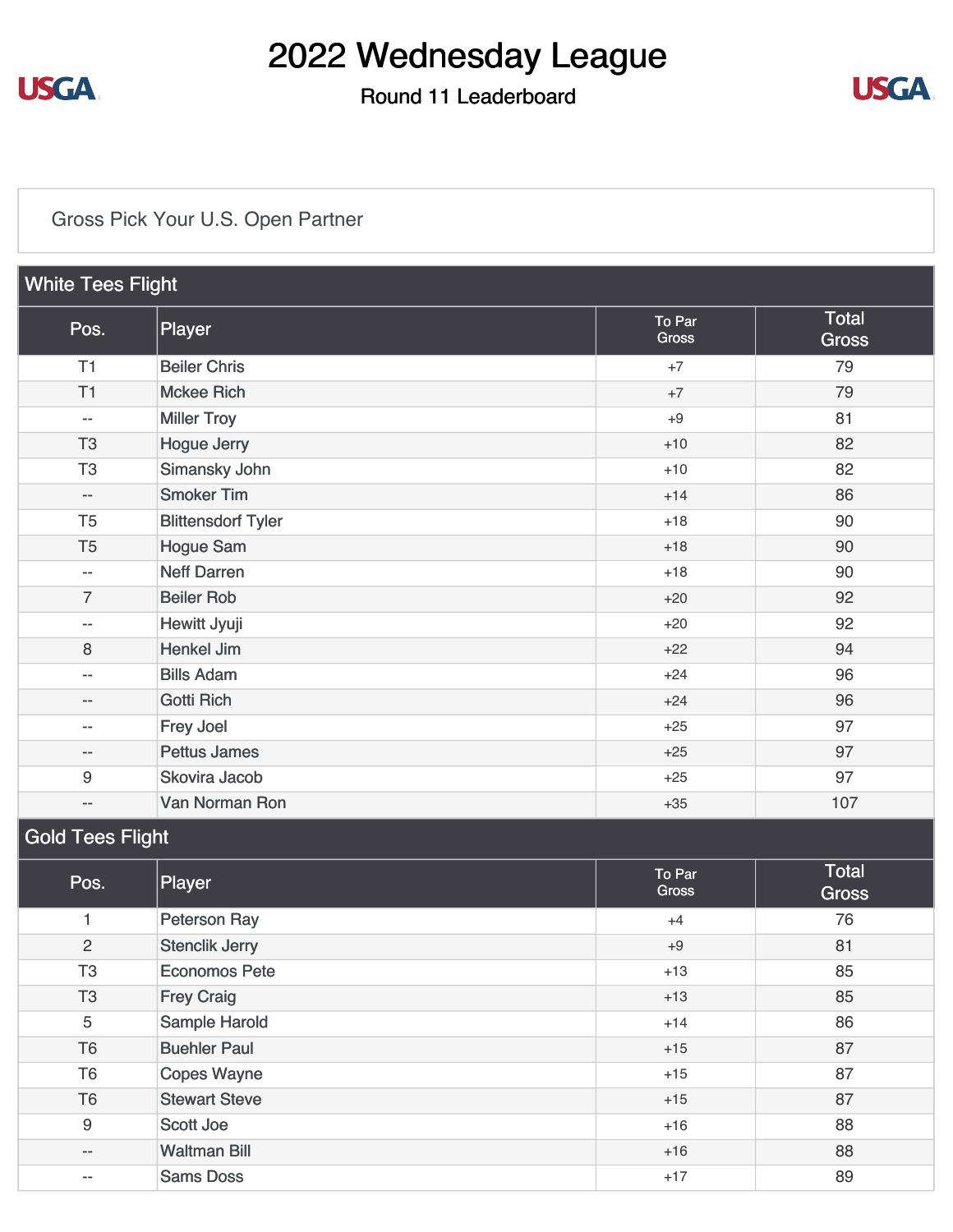

### Round 11 Leaderboard



### [Gross Pick Your U.S. Open Partner](https://static.golfgenius.com/v2tournaments/8569027440909769251?called_from=&round_index=11)

| <b>White Tees Flight</b> |                           |                 |                       |  |  |
|--------------------------|---------------------------|-----------------|-----------------------|--|--|
| Pos.                     | Player                    | To Par<br>Gross | Total<br><b>Gross</b> |  |  |
| T1                       | <b>Beiler Chris</b>       | $+7$            | 79                    |  |  |
| T1                       | <b>Mckee Rich</b>         | $+7$            | 79                    |  |  |
| $-\,-$                   | <b>Miller Troy</b>        | $+9$            | 81                    |  |  |
| T <sub>3</sub>           | <b>Hogue Jerry</b>        | $+10$           | 82                    |  |  |
| T <sub>3</sub>           | Simansky John             | $+10$           | 82                    |  |  |
| $-\,-$                   | <b>Smoker Tim</b>         | $+14$           | 86                    |  |  |
| T <sub>5</sub>           | <b>Blittensdorf Tyler</b> | $+18$           | 90                    |  |  |
| T <sub>5</sub>           | <b>Hogue Sam</b>          | $+18$           | 90                    |  |  |
| --                       | <b>Neff Darren</b>        | $+18$           | 90                    |  |  |
| $\overline{7}$           | <b>Beiler Rob</b>         | $+20$           | 92                    |  |  |
| $\overline{a}$           | Hewitt Jyuji              | $+20$           | 92                    |  |  |
| 8                        | <b>Henkel Jim</b>         | $+22$           | 94                    |  |  |
| $\overline{\phantom{a}}$ | <b>Bills Adam</b>         | $+24$           | 96                    |  |  |
| --                       | <b>Gotti Rich</b>         | $+24$           | 96                    |  |  |
| --                       | Frey Joel                 | $+25$           | 97                    |  |  |
| $\overline{\phantom{a}}$ | <b>Pettus James</b>       | $+25$           | 97                    |  |  |
| $\boldsymbol{9}$         | Skovira Jacob             | $+25$           | 97                    |  |  |
| $-\,-$                   | Van Norman Ron            | $+35$           | 107                   |  |  |
| Gold Tees Flight         |                           |                 |                       |  |  |

| Pos.           | Player                | To Par<br><b>Gross</b> | Total<br><b>Gross</b> |
|----------------|-----------------------|------------------------|-----------------------|
|                | <b>Peterson Ray</b>   | $+4$                   | 76                    |
| $\overline{2}$ | <b>Stenclik Jerry</b> | $+9$                   | 81                    |
| T <sub>3</sub> | <b>Economos Pete</b>  | $+13$                  | 85                    |
| T <sub>3</sub> | <b>Frey Craig</b>     | $+13$                  | 85                    |
| 5              | Sample Harold         | $+14$                  | 86                    |
| T <sub>6</sub> | <b>Buehler Paul</b>   | $+15$                  | 87                    |
| T <sub>6</sub> | Copes Wayne           | $+15$                  | 87                    |
| T <sub>6</sub> | <b>Stewart Steve</b>  | $+15$                  | 87                    |
| 9              | Scott Joe             | $+16$                  | 88                    |
| $- -$          | <b>Waltman Bill</b>   | $+16$                  | 88                    |
| --             | <b>Sams Doss</b>      | $+17$                  | 89                    |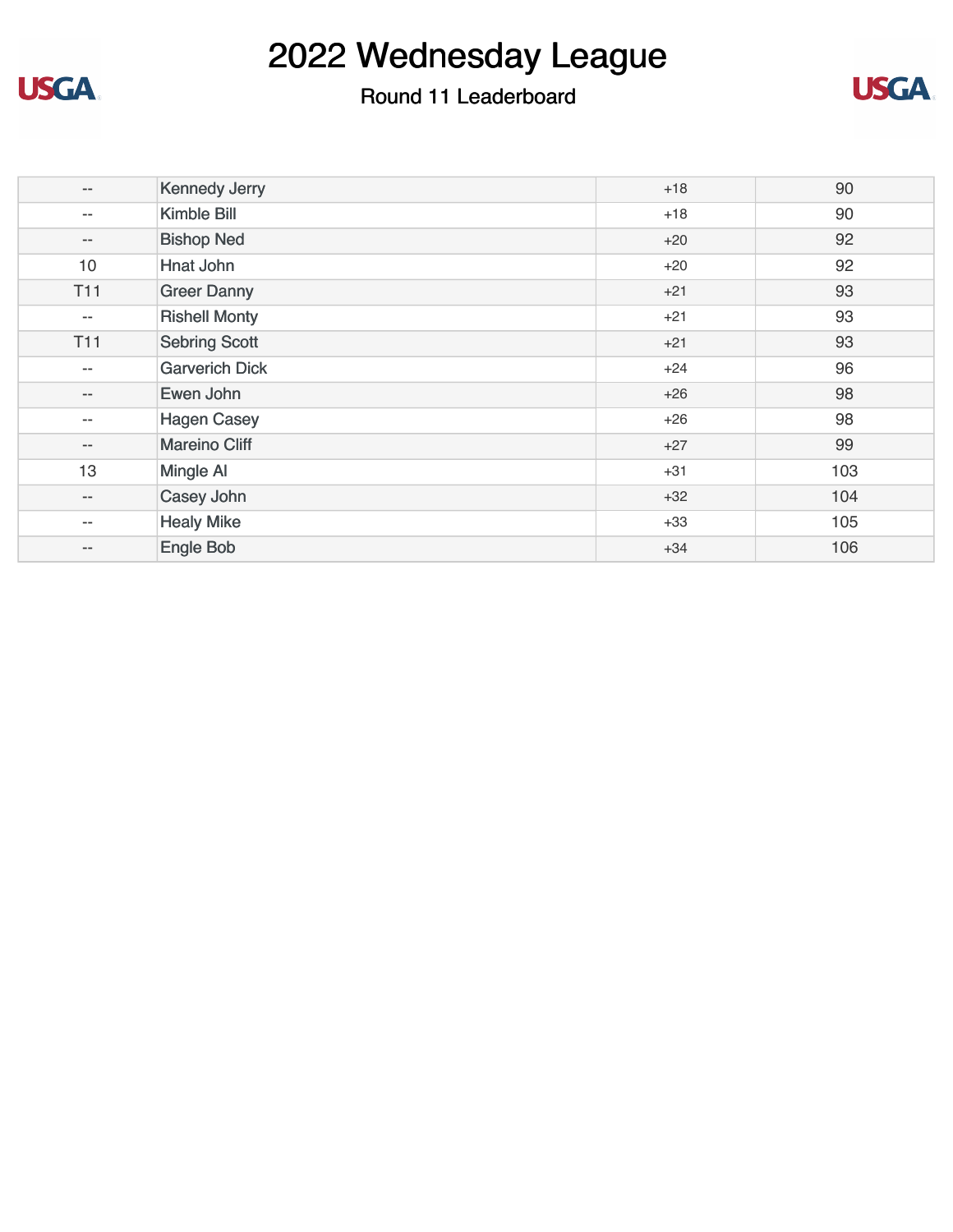

### Round 11 Leaderboard



| $- -$      | <b>Kennedy Jerry</b>  | $+18$ | 90  |
|------------|-----------------------|-------|-----|
| $- -$      | Kimble Bill           | $+18$ | 90  |
| $- -$      | <b>Bishop Ned</b>     | $+20$ | 92  |
| 10         | Hnat John             | $+20$ | 92  |
| <b>T11</b> | <b>Greer Danny</b>    | $+21$ | 93  |
| --         | <b>Rishell Monty</b>  | $+21$ | 93  |
| <b>T11</b> | <b>Sebring Scott</b>  | $+21$ | 93  |
| $- -$      | <b>Garverich Dick</b> | $+24$ | 96  |
| $- -$      | Ewen John             | $+26$ | 98  |
| --         | <b>Hagen Casey</b>    | $+26$ | 98  |
| $- -$      | <b>Mareino Cliff</b>  | $+27$ | 99  |
| 13         | Mingle Al             | $+31$ | 103 |
| $- -$      | Casey John            | $+32$ | 104 |
| --         | <b>Healy Mike</b>     | $+33$ | 105 |
| $- -$      | Engle Bob             | $+34$ | 106 |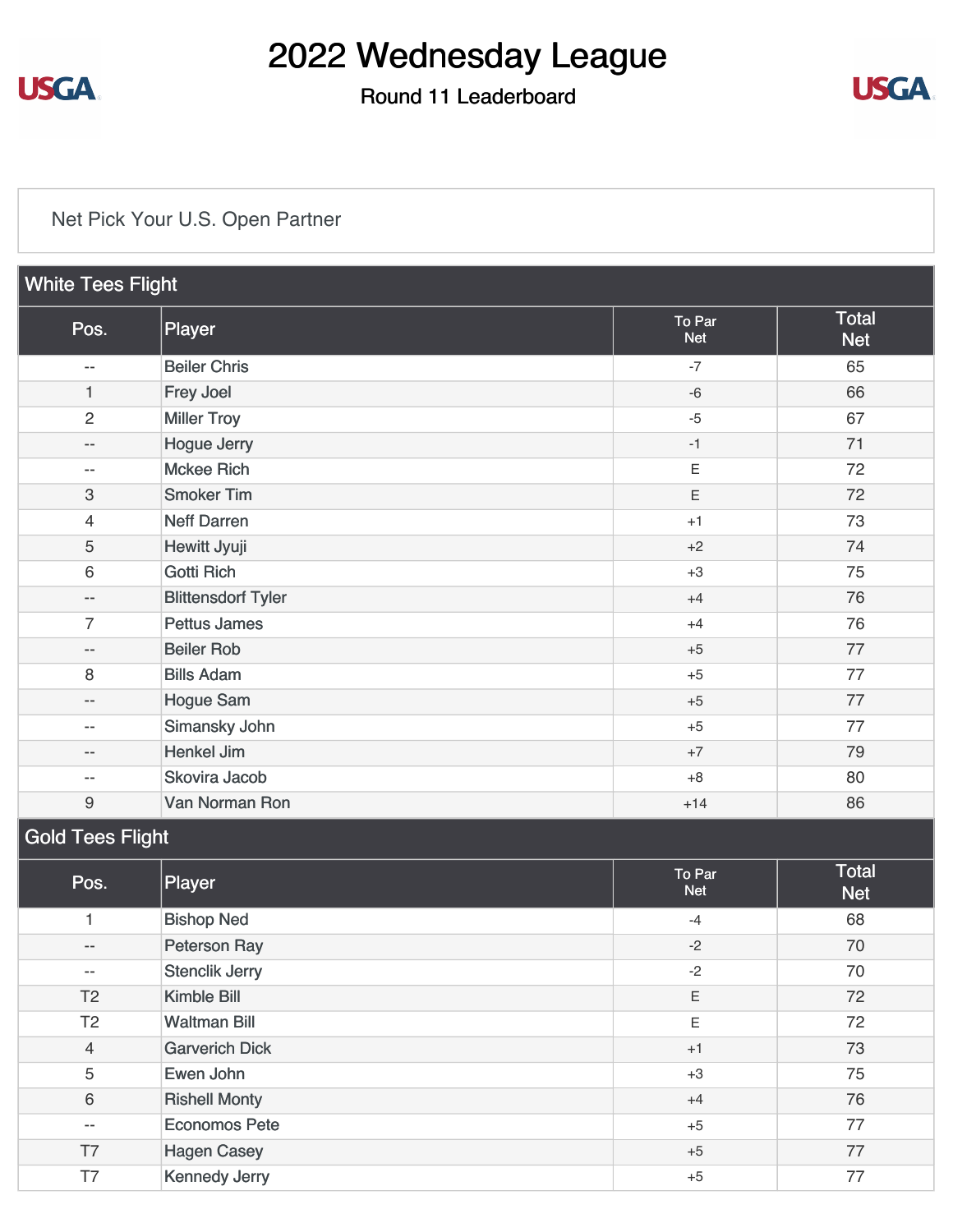

#### Round 11 Leaderboard



#### [Net Pick Your U.S. Open Partner](https://static.golfgenius.com/v2tournaments/8569027444298766884?called_from=&round_index=11)

| <b>White Tees Flight</b> |                           |                      |                     |  |  |
|--------------------------|---------------------------|----------------------|---------------------|--|--|
| Pos.                     | Player                    | To Par<br><b>Net</b> | Total<br><b>Net</b> |  |  |
| $-$                      | <b>Beiler Chris</b>       | $-7$                 | 65                  |  |  |
| $\mathbf{1}$             | Frey Joel                 | $-6$                 | 66                  |  |  |
| $\overline{2}$           | <b>Miller Troy</b>        | $-5$                 | 67                  |  |  |
| $-$                      | <b>Hogue Jerry</b>        | $-1$                 | 71                  |  |  |
| $-$                      | <b>Mckee Rich</b>         | $\mathsf E$          | 72                  |  |  |
| 3                        | <b>Smoker Tim</b>         | E                    | 72                  |  |  |
| $\overline{4}$           | <b>Neff Darren</b>        | $+1$                 | 73                  |  |  |
| 5                        | Hewitt Jyuji              | $+2$                 | 74                  |  |  |
| 6                        | <b>Gotti Rich</b>         | $+3$                 | 75                  |  |  |
| --                       | <b>Blittensdorf Tyler</b> | $+4$                 | 76                  |  |  |
| $\overline{7}$           | <b>Pettus James</b>       | $+4$                 | 76                  |  |  |
| --                       | <b>Beiler Rob</b>         | $+5$                 | 77                  |  |  |
| $\,8\,$                  | <b>Bills Adam</b>         | $+5$                 | 77                  |  |  |
| $- -$                    | <b>Hogue Sam</b>          | $+5$                 | 77                  |  |  |
| $-$                      | Simansky John             | $+5$                 | 77                  |  |  |
| --                       | <b>Henkel Jim</b>         | $+7$                 | 79                  |  |  |
| $-$                      | Skovira Jacob             | $+8$                 | 80                  |  |  |
| $\boldsymbol{9}$         | Van Norman Ron            | $+14$                | 86                  |  |  |
| <b>Gold Tees Flight</b>  |                           |                      |                     |  |  |
| Pos.                     | Player                    | To Par<br><b>Net</b> | Total<br><b>Net</b> |  |  |
| 1                        | <b>Bishop Ned</b>         | $-4$                 | 68                  |  |  |

- [Peterson Ray](https://static.golfgenius.com/tournaments2/details/8569036064130358019) 2008 and 2008 and 2008 and 2008 and 2008 and 2008 and 2008 and 2008 and 2008 and 200 -- [Stenclik Jerry](https://static.golfgenius.com/tournaments2/details/8569036064096803572) 70 T2 [Kimble Bill](https://static.golfgenius.com/tournaments2/details/8569036064130358009) **Kimble Bill** T2 [Waltman Bill](https://static.golfgenius.com/tournaments2/details/8569036064130358014) 72 4 [Garverich Dick](https://static.golfgenius.com/tournaments2/details/8569036064163912466) 73 5 [Ewen John](https://static.golfgenius.com/tournaments2/details/8569036064130358010) 75 6 [Rishell Monty](https://static.golfgenius.com/tournaments2/details/8569036064130358026) 76 -- [Economos Pete](https://static.golfgenius.com/tournaments2/details/8569036064163912467) 77 T7 [Hagen Casey](https://static.golfgenius.com/tournaments2/details/8569036064130358024) **Figure 2018** Hagen Casey **77** T7 [Kennedy Jerry](https://static.golfgenius.com/tournaments2/details/8569036064130358022) 17 Accounts 10 Accounts 15 Accounts 15 Accounts 15 Accounts 15 Accounts 17 Accounts 17 Accounts 17 Accounts 17 Accounts 17 Accounts 17 Accounts 17 Accounts 17 Accounts 17 Accounts 17 Accounts 17 Accounts 1

-2 -2 E E +1 +3 +4 +5 +5 +5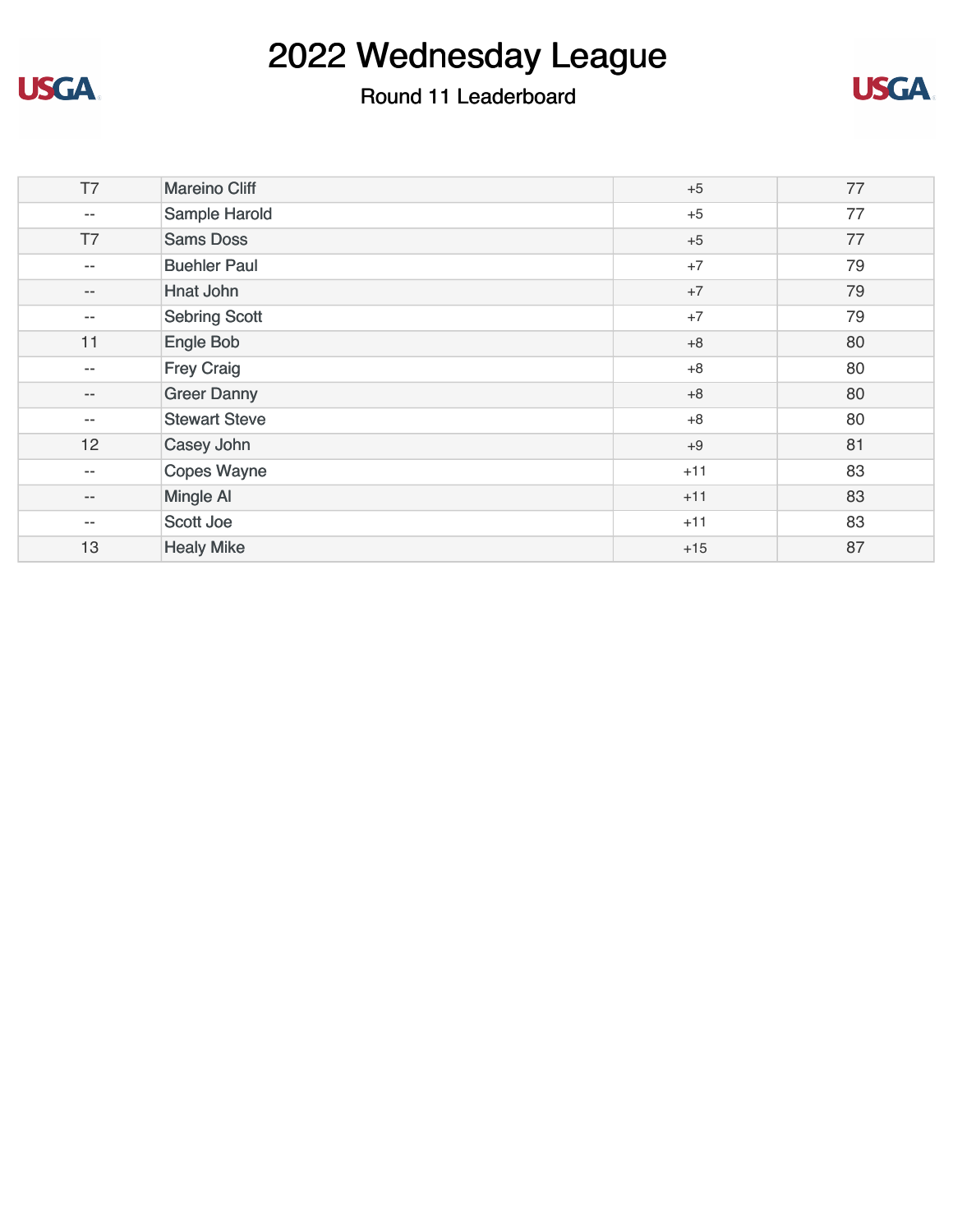

#### Round 11 Leaderboard



| T7                | <b>Mareino Cliff</b> | $+5$  | 77 |
|-------------------|----------------------|-------|----|
| $-\,-$            | Sample Harold        | $+5$  | 77 |
| T7                | <b>Sams Doss</b>     | $+5$  | 77 |
| $-\,-$            | <b>Buehler Paul</b>  | $+7$  | 79 |
| $-\,-$            | Hnat John            | $+7$  | 79 |
| $-\,-$            | <b>Sebring Scott</b> | $+7$  | 79 |
| 11                | Engle Bob            | $+8$  | 80 |
| $-\,-$            | <b>Frey Craig</b>    | $+8$  | 80 |
| $\qquad \qquad -$ | <b>Greer Danny</b>   | $+8$  | 80 |
| $\qquad \qquad -$ | <b>Stewart Steve</b> | $+8$  | 80 |
| 12                | Casey John           | $+9$  | 81 |
| $-\,-$            | <b>Copes Wayne</b>   | $+11$ | 83 |
| $\qquad \qquad -$ | <b>Mingle AI</b>     | $+11$ | 83 |
| $-\,-$            | <b>Scott Joe</b>     | $+11$ | 83 |
| 13                | <b>Healy Mike</b>    | $+15$ | 87 |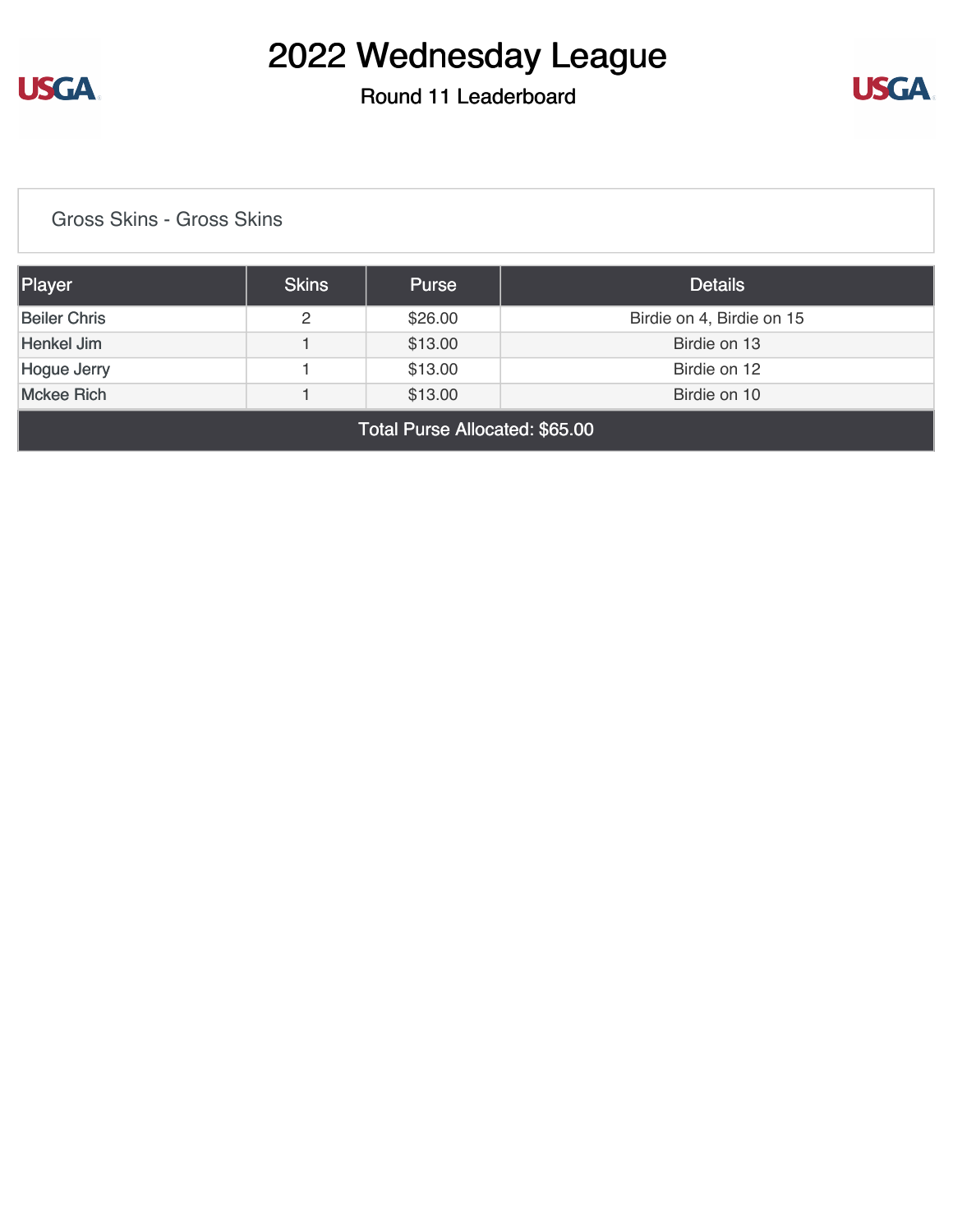

Round 11 Leaderboard



[Gross Skins - Gross Skins](https://static.golfgenius.com/v2tournaments/8569030486712670758?called_from=&round_index=11)

| Player                                       | <b>Skins</b> | <b>Purse</b> | <b>Details</b>            |  |  |
|----------------------------------------------|--------------|--------------|---------------------------|--|--|
| <b>Beiler Chris</b>                          | 2            | \$26.00      | Birdie on 4, Birdie on 15 |  |  |
| Henkel Jim                                   |              | \$13.00      | Birdie on 13              |  |  |
| <b>Hogue Jerry</b>                           |              | \$13.00      | Birdie on 12              |  |  |
| <b>Mckee Rich</b><br>\$13.00<br>Birdie on 10 |              |              |                           |  |  |
| Total Purse Allocated: \$65.00               |              |              |                           |  |  |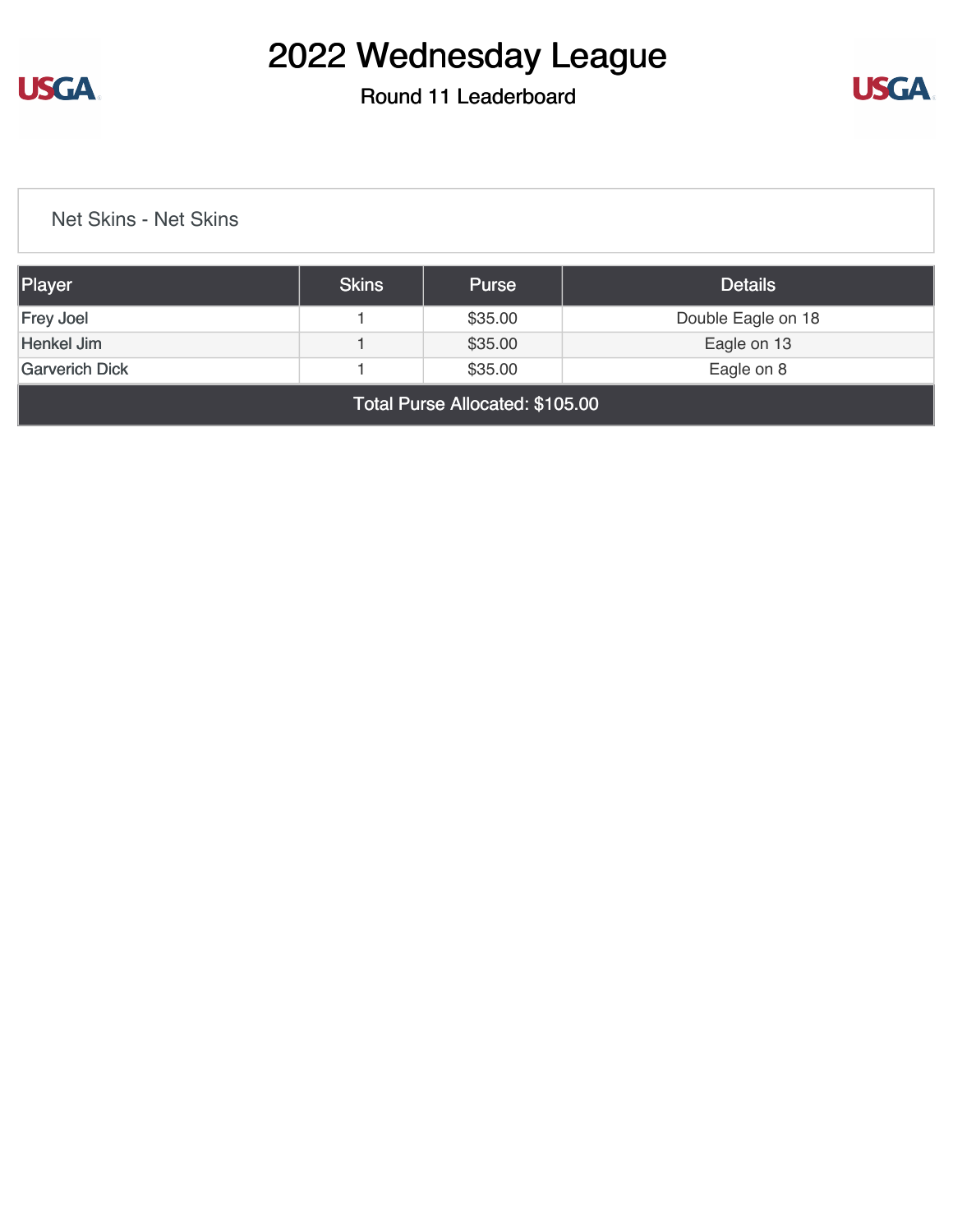

Round 11 Leaderboard



[Net Skins - Net Skins](https://static.golfgenius.com/v2tournaments/8569041908507105832?called_from=&round_index=11)

| Player                                         | <b>Skins</b> | <b>Purse</b> | <b>Details</b>     |  |
|------------------------------------------------|--------------|--------------|--------------------|--|
| <b>Frey Joel</b>                               |              | \$35.00      | Double Eagle on 18 |  |
| Henkel Jim                                     |              | \$35.00      | Eagle on 13        |  |
| \$35.00<br><b>Garverich Dick</b><br>Eagle on 8 |              |              |                    |  |
| Total Purse Allocated: \$105.00                |              |              |                    |  |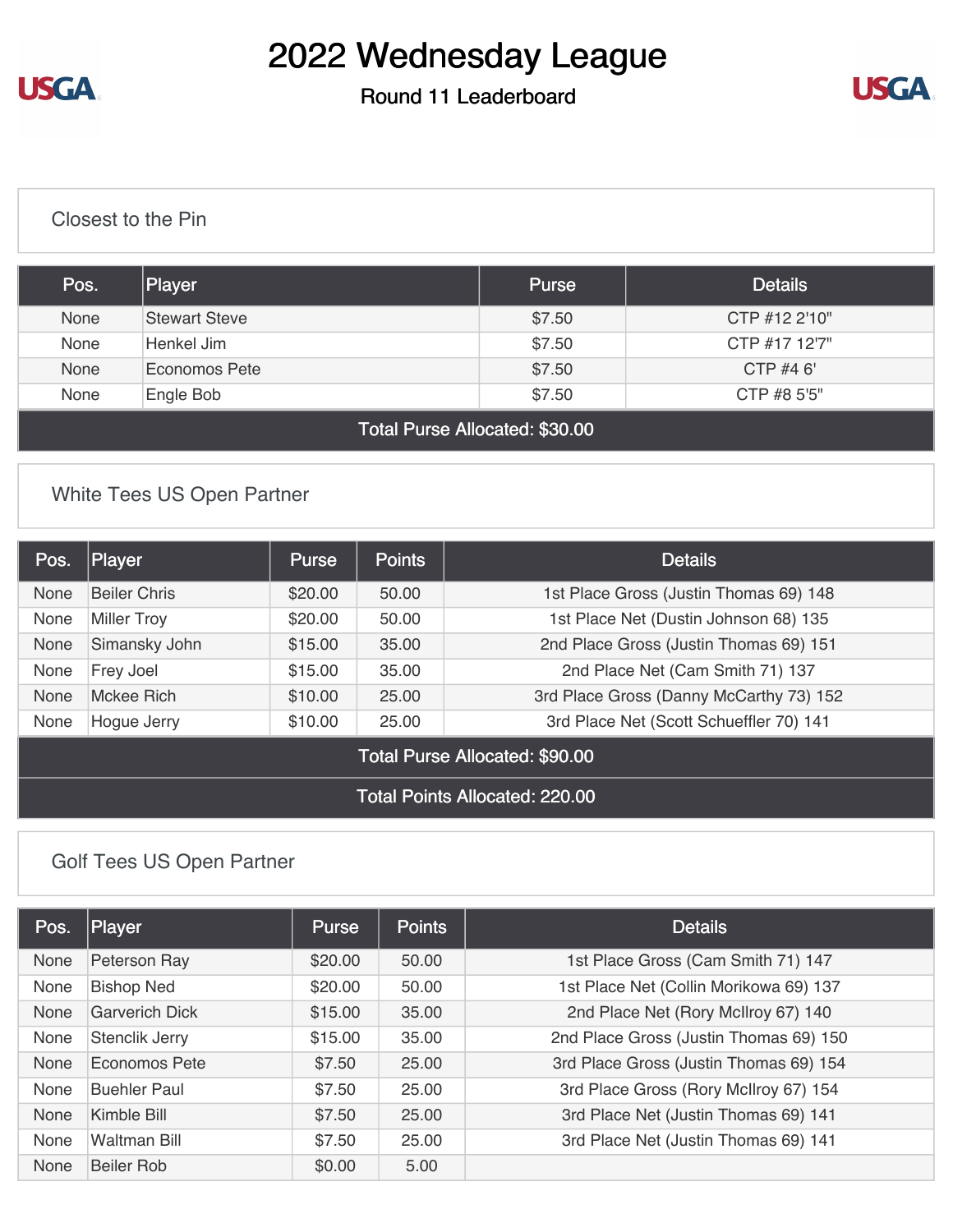**USGA** 

# 2022 Wednesday League

#### Round 11 Leaderboard



#### [Closest to the Pin](https://static.golfgenius.com/v2tournaments/8569033468929923623?called_from=&round_index=11)

| Pos.                                       | Player               | <b>Purse</b> | <b>Details</b> |  |  |
|--------------------------------------------|----------------------|--------------|----------------|--|--|
| None                                       | <b>Stewart Steve</b> | \$7.50       | CTP #12 2'10"  |  |  |
| None                                       | Henkel Jim           | \$7.50       | CTP #17 12'7"  |  |  |
| None                                       | Economos Pete        | \$7.50       | CTP $#46'$     |  |  |
| None<br>\$7.50<br>CTP #8 5'5"<br>Engle Bob |                      |              |                |  |  |
| Total Purse Allocated: \$30.00             |                      |              |                |  |  |

#### [White Tees US Open Partner](https://static.golfgenius.com/v2tournaments/8572277156476901992?called_from=&round_index=11)

| Pos.                                  | Player              | <b>Purse</b> | <b>Points</b> | <b>Details</b>                          |
|---------------------------------------|---------------------|--------------|---------------|-----------------------------------------|
| None                                  | <b>Beiler Chris</b> | \$20.00      | 50.00         | 1st Place Gross (Justin Thomas 69) 148  |
| <b>None</b>                           | <b>Miller Troy</b>  | \$20.00      | 50.00         | 1st Place Net (Dustin Johnson 68) 135   |
| <b>None</b>                           | Simansky John       | \$15.00      | 35.00         | 2nd Place Gross (Justin Thomas 69) 151  |
| <b>None</b>                           | Frey Joel           | \$15.00      | 35.00         | 2nd Place Net (Cam Smith 71) 137        |
| <b>None</b>                           | Mckee Rich          | \$10.00      | 25.00         | 3rd Place Gross (Danny McCarthy 73) 152 |
| <b>None</b>                           | Hogue Jerry         | \$10.00      | 25.00         | 3rd Place Net (Scott Schueffler 70) 141 |
| Total Purse Allocated: \$90.00        |                     |              |               |                                         |
| <b>Total Points Allocated: 220.00</b> |                     |              |               |                                         |

#### [Golf Tees US Open Partner](https://static.golfgenius.com/v2tournaments/8572277839745800809?called_from=&round_index=11)

| Pos. | Player                | Purse   | <b>Points</b> | <b>Details</b>                         |
|------|-----------------------|---------|---------------|----------------------------------------|
| None | Peterson Ray          | \$20.00 | 50.00         | 1st Place Gross (Cam Smith 71) 147     |
| None | <b>Bishop Ned</b>     | \$20.00 | 50.00         | 1st Place Net (Collin Morikowa 69) 137 |
| None | <b>Garverich Dick</b> | \$15.00 | 35.00         | 2nd Place Net (Rory McIlroy 67) 140    |
| None | Stenclik Jerry        | \$15.00 | 35.00         | 2nd Place Gross (Justin Thomas 69) 150 |
| None | Economos Pete         | \$7.50  | 25.00         | 3rd Place Gross (Justin Thomas 69) 154 |
| None | <b>Buehler Paul</b>   | \$7.50  | 25.00         | 3rd Place Gross (Rory McIlroy 67) 154  |
| None | Kimble Bill           | \$7.50  | 25.00         | 3rd Place Net (Justin Thomas 69) 141   |
| None | Waltman Bill          | \$7.50  | 25.00         | 3rd Place Net (Justin Thomas 69) 141   |
| None | Beiler Rob            | \$0.00  | 5.00          |                                        |